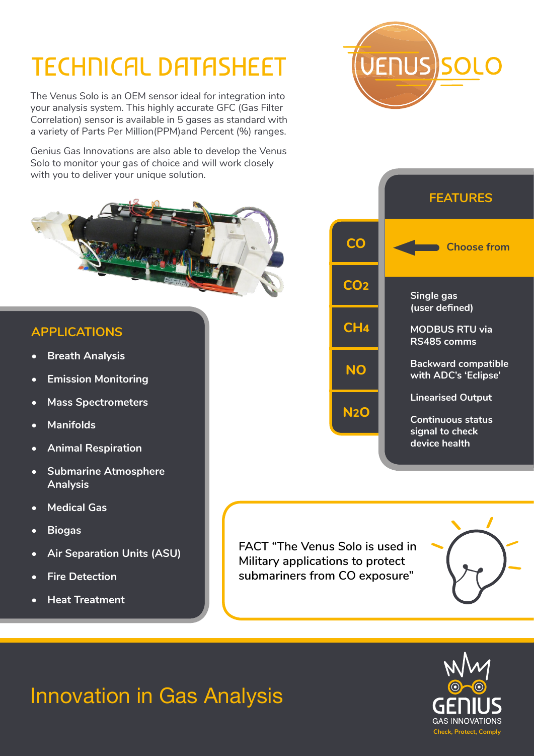## TECHNICAL DATASHEET

The Venus Solo is an OEM sensor ideal for integration into your analysis system. This highly accurate GFC (Gas Filter Correlation) sensor is available in 5 gases as standard with a variety of Parts Per Million(PPM)and Percent (%) ranges.

Genius Gas Innovations are also able to develop the Venus Solo to monitor your gas of choice and will work closely with you to deliver your unique solution.



## **APPLICATIONS**

- **• Breath Analysis**
- **• Emission Monitoring**
- **• Mass Spectrometers**
- **• Manifolds**
- **• Animal Respiration**
- **• Submarine Atmosphere Analysis**
- **• Medical Gas**
- **• Biogas**
- **• Air Separation Units (ASU)**
- **• Fire Detection**
- **• Heat Treatment**



**FACT "The Venus Solo is used in Military applications to protect submariners from CO exposure"**





# **UENUS SOLC**

## Innovation in Gas Analysis